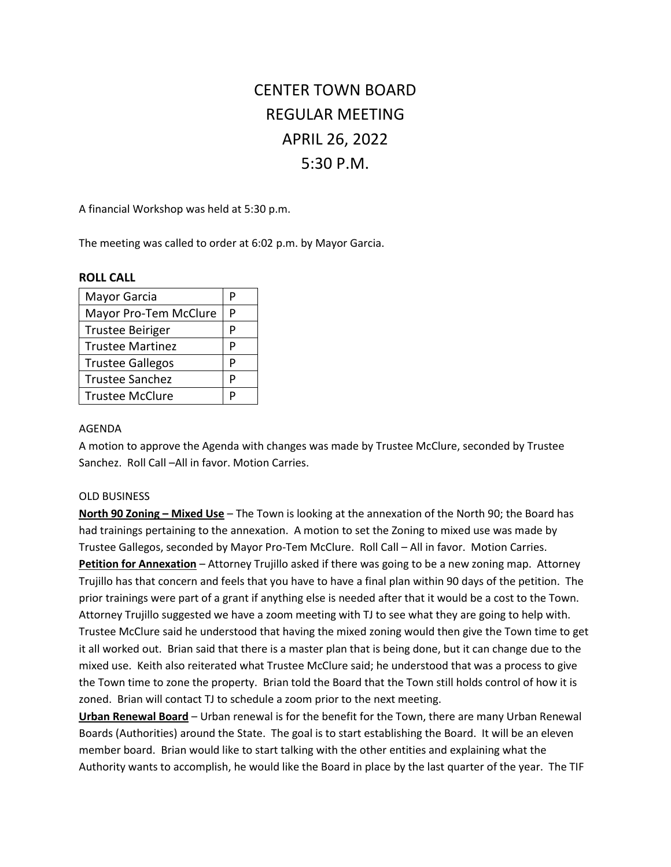# CENTER TOWN BOARD REGULAR MEETING APRIL 26, 2022 5:30 P.M.

A financial Workshop was held at 5:30 p.m.

The meeting was called to order at 6:02 p.m. by Mayor Garcia.

#### **ROLL CALL**

| Mayor Garcia            | P |
|-------------------------|---|
| Mayor Pro-Tem McClure   | P |
| <b>Trustee Beiriger</b> | P |
| <b>Trustee Martinez</b> | P |
| <b>Trustee Gallegos</b> | D |
| <b>Trustee Sanchez</b>  | P |
| <b>Trustee McClure</b>  |   |

#### AGENDA

A motion to approve the Agenda with changes was made by Trustee McClure, seconded by Trustee Sanchez. Roll Call –All in favor. Motion Carries.

#### OLD BUSINESS

**North 90 Zoning – Mixed Use** – The Town is looking at the annexation of the North 90; the Board has had trainings pertaining to the annexation. A motion to set the Zoning to mixed use was made by Trustee Gallegos, seconded by Mayor Pro-Tem McClure. Roll Call – All in favor. Motion Carries. **Petition for Annexation** – Attorney Trujillo asked if there was going to be a new zoning map. Attorney Trujillo has that concern and feels that you have to have a final plan within 90 days of the petition. The prior trainings were part of a grant if anything else is needed after that it would be a cost to the Town. Attorney Trujillo suggested we have a zoom meeting with TJ to see what they are going to help with. Trustee McClure said he understood that having the mixed zoning would then give the Town time to get it all worked out. Brian said that there is a master plan that is being done, but it can change due to the mixed use. Keith also reiterated what Trustee McClure said; he understood that was a process to give the Town time to zone the property. Brian told the Board that the Town still holds control of how it is zoned. Brian will contact TJ to schedule a zoom prior to the next meeting.

**Urban Renewal Board** – Urban renewal is for the benefit for the Town, there are many Urban Renewal Boards (Authorities) around the State. The goal is to start establishing the Board. It will be an eleven member board. Brian would like to start talking with the other entities and explaining what the Authority wants to accomplish, he would like the Board in place by the last quarter of the year. The TIF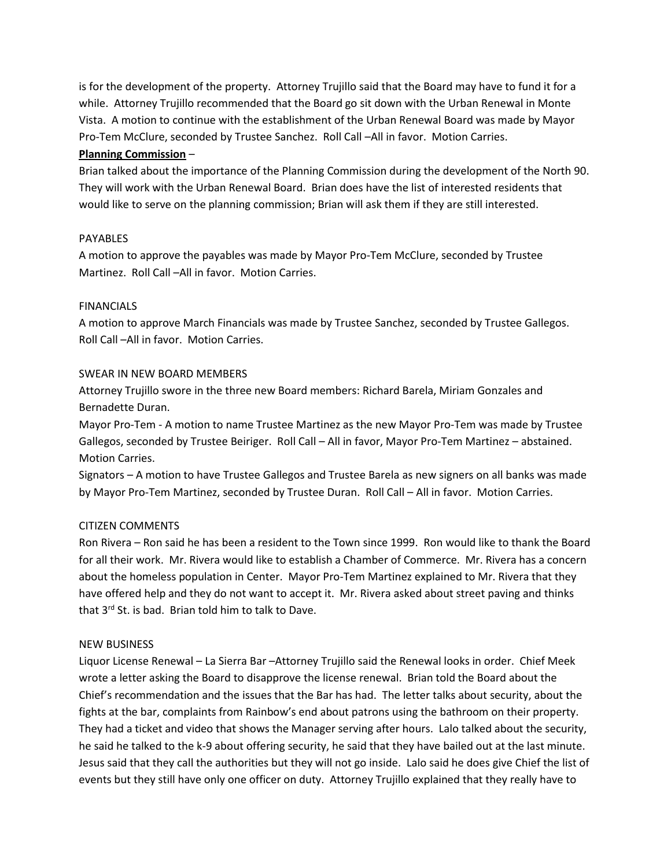is for the development of the property. Attorney Trujillo said that the Board may have to fund it for a while. Attorney Trujillo recommended that the Board go sit down with the Urban Renewal in Monte Vista. A motion to continue with the establishment of the Urban Renewal Board was made by Mayor Pro-Tem McClure, seconded by Trustee Sanchez. Roll Call –All in favor. Motion Carries.

# **Planning Commission** –

Brian talked about the importance of the Planning Commission during the development of the North 90. They will work with the Urban Renewal Board. Brian does have the list of interested residents that would like to serve on the planning commission; Brian will ask them if they are still interested.

# PAYABLES

A motion to approve the payables was made by Mayor Pro-Tem McClure, seconded by Trustee Martinez. Roll Call –All in favor. Motion Carries.

# FINANCIALS

A motion to approve March Financials was made by Trustee Sanchez, seconded by Trustee Gallegos. Roll Call –All in favor. Motion Carries.

# SWEAR IN NEW BOARD MEMBERS

Attorney Trujillo swore in the three new Board members: Richard Barela, Miriam Gonzales and Bernadette Duran.

Mayor Pro-Tem - A motion to name Trustee Martinez as the new Mayor Pro-Tem was made by Trustee Gallegos, seconded by Trustee Beiriger. Roll Call – All in favor, Mayor Pro-Tem Martinez – abstained. Motion Carries.

Signators – A motion to have Trustee Gallegos and Trustee Barela as new signers on all banks was made by Mayor Pro-Tem Martinez, seconded by Trustee Duran. Roll Call – All in favor. Motion Carries.

# CITIZEN COMMENTS

Ron Rivera – Ron said he has been a resident to the Town since 1999. Ron would like to thank the Board for all their work. Mr. Rivera would like to establish a Chamber of Commerce. Mr. Rivera has a concern about the homeless population in Center. Mayor Pro-Tem Martinez explained to Mr. Rivera that they have offered help and they do not want to accept it. Mr. Rivera asked about street paving and thinks that 3rd St. is bad. Brian told him to talk to Dave.

#### NEW BUSINESS

Liquor License Renewal – La Sierra Bar –Attorney Trujillo said the Renewal looks in order. Chief Meek wrote a letter asking the Board to disapprove the license renewal. Brian told the Board about the Chief's recommendation and the issues that the Bar has had. The letter talks about security, about the fights at the bar, complaints from Rainbow's end about patrons using the bathroom on their property. They had a ticket and video that shows the Manager serving after hours. Lalo talked about the security, he said he talked to the k-9 about offering security, he said that they have bailed out at the last minute. Jesus said that they call the authorities but they will not go inside. Lalo said he does give Chief the list of events but they still have only one officer on duty. Attorney Trujillo explained that they really have to